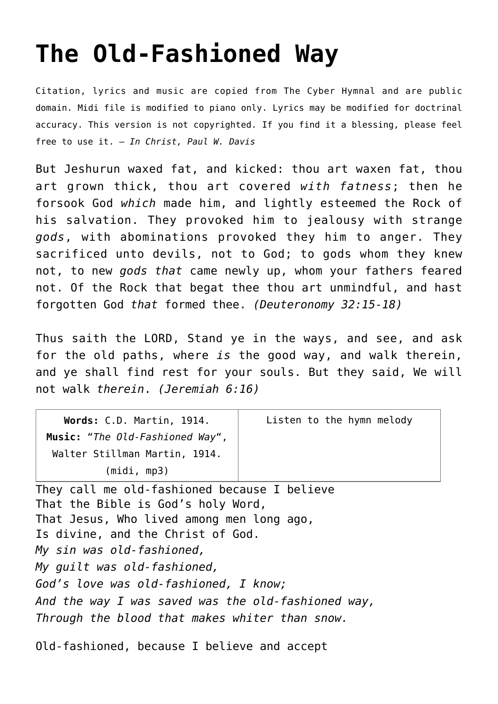## **[The Old-Fashioned Way](http://reproachofmen.org/hymns-and-music/the-old-fashioned-way/)**

Citation, lyrics and music are copied from [The Cyber Hymnal](http://www.hymntime.com/tch/index.htm) and are public domain. Midi file is modified to piano only. Lyrics may be modified for doctrinal accuracy. This version is not copyrighted. If you find it a blessing, please feel free to use it. — *In Christ, Paul W. Davis*

But Jeshurun waxed fat, and kicked: thou art waxen fat, thou art grown thick, thou art covered *with fatness*; then he forsook God *which* made him, and lightly esteemed the Rock of his salvation. They provoked him to jealousy with strange *gods*, with abominations provoked they him to anger. They sacrificed unto devils, not to God; to gods whom they knew not, to new *gods that* came newly up, whom your fathers feared not. Of the Rock that begat thee thou art unmindful, and hast forgotten God *that* formed thee. *(Deuteronomy 32:15-18)*

Thus saith the LORD, Stand ye in the ways, and see, and ask for the old paths, where *is* the good way, and walk therein, and ye shall find rest for your souls. But they said, We will not walk *therein*. *(Jeremiah 6:16)*

| Words: C.D. Martin, 1914.<br>Music: "The Old-Fashioned Way",                                                                                                                                                                     | Listen to the hymn melody |
|----------------------------------------------------------------------------------------------------------------------------------------------------------------------------------------------------------------------------------|---------------------------|
| Walter Stillman Martin, 1914.                                                                                                                                                                                                    |                           |
| (midi, mp3)                                                                                                                                                                                                                      |                           |
| They call me old-fashioned because I believe<br>That the Bible is God's holy Word,<br>That Jesus, Who lived among men long ago,<br>Is divine, and the Christ of God.<br>My sin was old-fashioned,<br>My quilt was old-fashioned, |                           |
| God's love was old-fashioned, I know;                                                                                                                                                                                            |                           |
| And the way I was saved was the old-fashioned way,<br>Through the blood that makes whiter than snow.                                                                                                                             |                           |

Old-fashioned, because I believe and accept